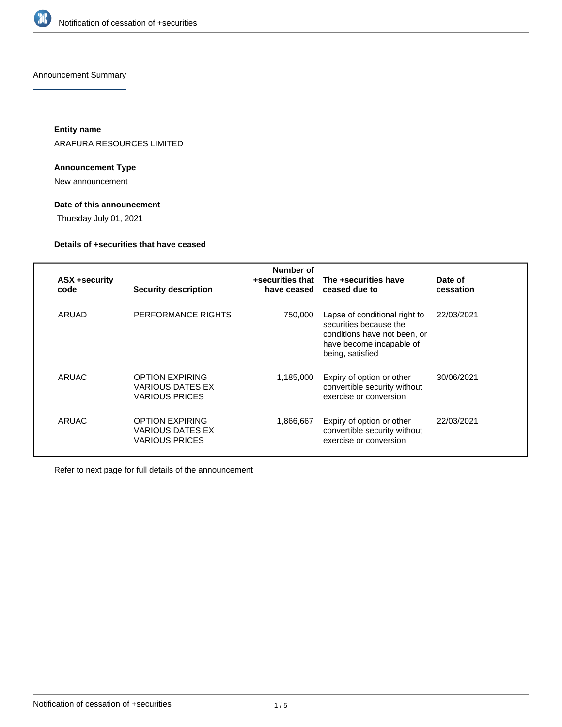

Announcement Summary

**Entity name**

ARAFURA RESOURCES LIMITED

### **Announcement Type**

New announcement

## **Date of this announcement**

Thursday July 01, 2021

## **Details of +securities that have ceased**

| ASX +security<br>code | <b>Security description</b>                                                | Number of<br>+securities that<br>have ceased | The +securities have<br>ceased due to                                                                                                   | Date of<br>cessation |
|-----------------------|----------------------------------------------------------------------------|----------------------------------------------|-----------------------------------------------------------------------------------------------------------------------------------------|----------------------|
| ARUAD                 | PERFORMANCE RIGHTS                                                         | 750.000                                      | Lapse of conditional right to<br>securities because the<br>conditions have not been, or<br>have become incapable of<br>being, satisfied | 22/03/2021           |
| ARUAC                 | <b>OPTION EXPIRING</b><br><b>VARIOUS DATES EX</b><br><b>VARIOUS PRICES</b> | 1,185,000                                    | Expiry of option or other<br>convertible security without<br>exercise or conversion                                                     | 30/06/2021           |
| ARUAC                 | <b>OPTION EXPIRING</b><br>VARIOUS DATES EX<br><b>VARIOUS PRICES</b>        | 1,866,667                                    | Expiry of option or other<br>convertible security without<br>exercise or conversion                                                     | 22/03/2021           |

Refer to next page for full details of the announcement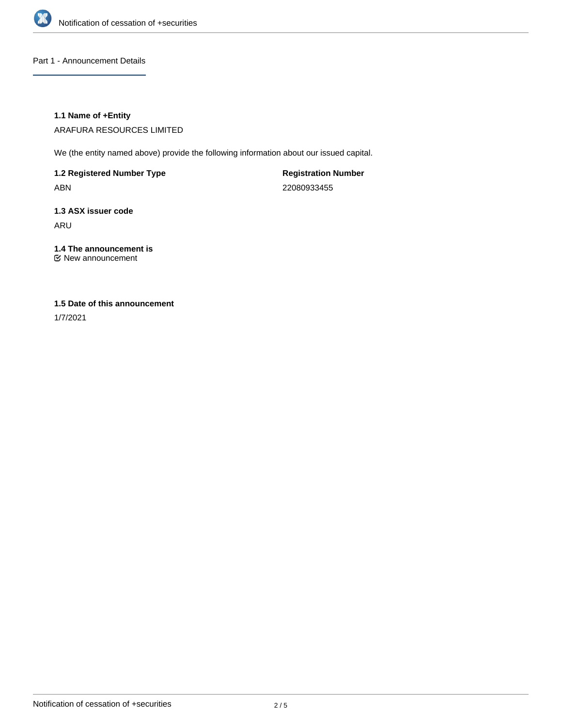

Part 1 - Announcement Details

### **1.1 Name of +Entity**

ARAFURA RESOURCES LIMITED

We (the entity named above) provide the following information about our issued capital.

**1.2 Registered Number Type** ABN

**Registration Number** 22080933455

**1.3 ASX issuer code** ARU

## **1.4 The announcement is**

New announcement

### **1.5 Date of this announcement**

1/7/2021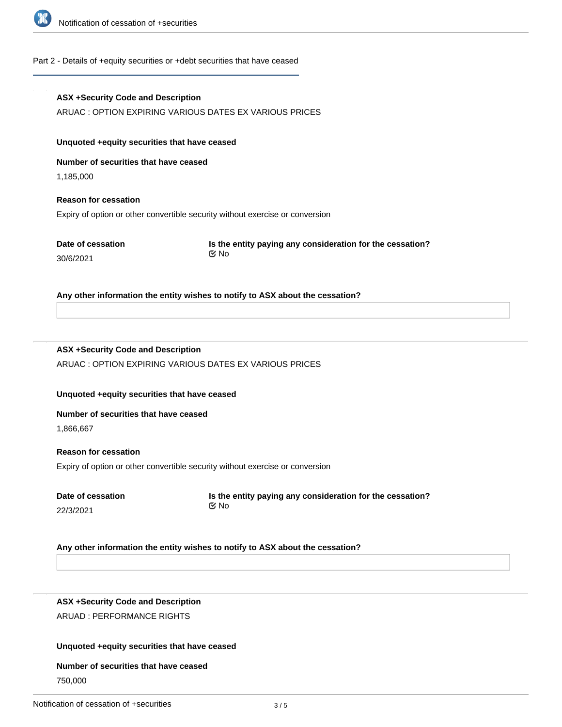

### Part 2 - Details of +equity securities or +debt securities that have ceased

# **ASX +Security Code and Description** ARUAC : OPTION EXPIRING VARIOUS DATES EX VARIOUS PRICES **Unquoted +equity securities that have ceased Number of securities that have ceased** 1,185,000 **Reason for cessation**

Expiry of option or other convertible security without exercise or conversion

**Date of cessation** 30/6/2021

**Is the entity paying any consideration for the cessation?** No

**Any other information the entity wishes to notify to ASX about the cessation?**

## **ASX +Security Code and Description**

ARUAC : OPTION EXPIRING VARIOUS DATES EX VARIOUS PRICES

**Unquoted +equity securities that have ceased**

### **Number of securities that have ceased**

1,866,667

**Reason for cessation** Expiry of option or other convertible security without exercise or conversion

**Date of cessation** 22/3/2021

**Is the entity paying any consideration for the cessation?** No

### **Any other information the entity wishes to notify to ASX about the cessation?**

**ASX +Security Code and Description** ARUAD : PERFORMANCE RIGHTS

### **Unquoted +equity securities that have ceased**

### **Number of securities that have ceased**

750,000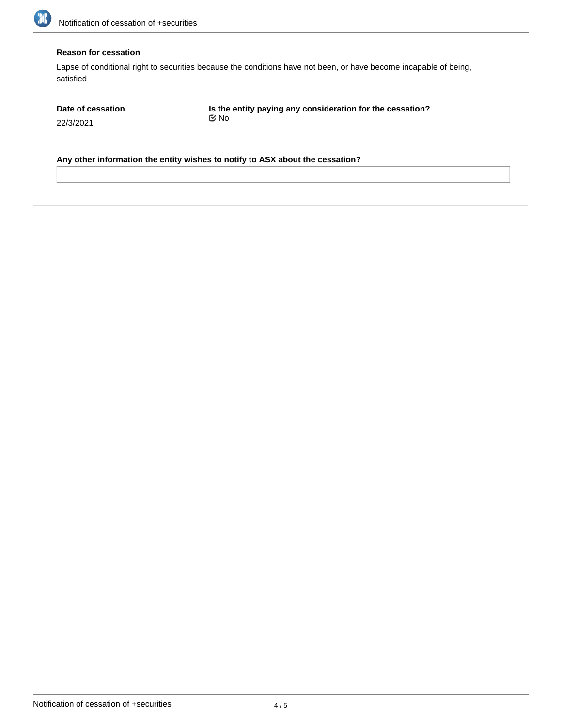

### **Reason for cessation**

Lapse of conditional right to securities because the conditions have not been, or have become incapable of being, satisfied

| Date of cessation | Is the entity paying any consideration for the cessation? |  |
|-------------------|-----------------------------------------------------------|--|
| 22/3/2021         | Mo No                                                     |  |

**Any other information the entity wishes to notify to ASX about the cessation?**